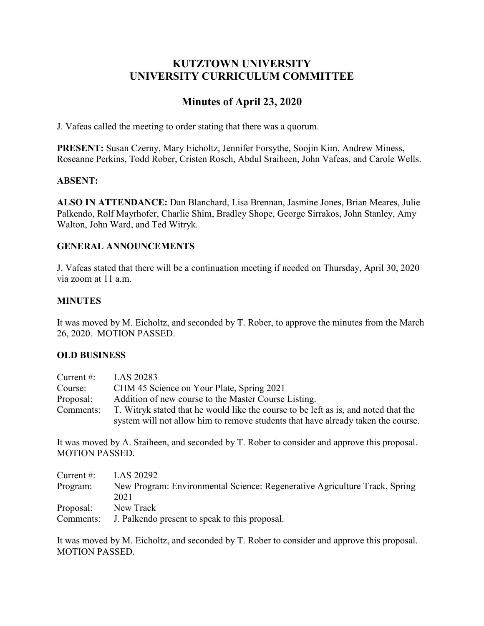# **KUTZTOWN UNIVERSITY UNIVERSITY CURRICULUM COMMITTEE**

# **Minutes of April 23, 2020**

J. Vafeas called the meeting to order stating that there was a quorum.

**PRESENT:** Susan Czerny, Mary Eicholtz, Jennifer Forsythe, Soojin Kim, Andrew Miness, Roseanne Perkins, Todd Rober, Cristen Rosch, Abdul Sraiheen, John Vafeas, and Carole Wells.

## **ABSENT:**

**ALSO IN ATTENDANCE:** Dan Blanchard, Lisa Brennan, Jasmine Jones, Brian Meares, Julie Palkendo, Rolf Mayrhofer, Charlie Shim, Bradley Shope, George Sirrakos, John Stanley, Amy Walton, John Ward, and Ted Witryk.

## **GENERAL ANNOUNCEMENTS**

J. Vafeas stated that there will be a continuation meeting if needed on Thursday, April 30, 2020 via zoom at 11 a.m.

## **MINUTES**

It was moved by M. Eicholtz, and seconded by T. Rober, to approve the minutes from the March 26, 2020. MOTION PASSED.

## **OLD BUSINESS**

| Current $#$ : | LAS 20283                                                                           |
|---------------|-------------------------------------------------------------------------------------|
| Course:       | CHM 45 Science on Your Plate, Spring 2021                                           |
| Proposal:     | Addition of new course to the Master Course Listing.                                |
| Comments:     | T. Witryk stated that he would like the course to be left as is, and noted that the |
|               | system will not allow him to remove students that have already taken the course.    |

It was moved by A. Sraiheen, and seconded by T. Rober to consider and approve this proposal. MOTION PASSED.

| Current $#$ : | LAS 20292                                                                  |
|---------------|----------------------------------------------------------------------------|
| Program:      | New Program: Environmental Science: Regenerative Agriculture Track, Spring |
|               | 2021                                                                       |
| Proposal:     | New Track                                                                  |
| Comments:     | J. Palkendo present to speak to this proposal.                             |

It was moved by M. Eicholtz, and seconded by T. Rober to consider and approve this proposal. MOTION PASSED.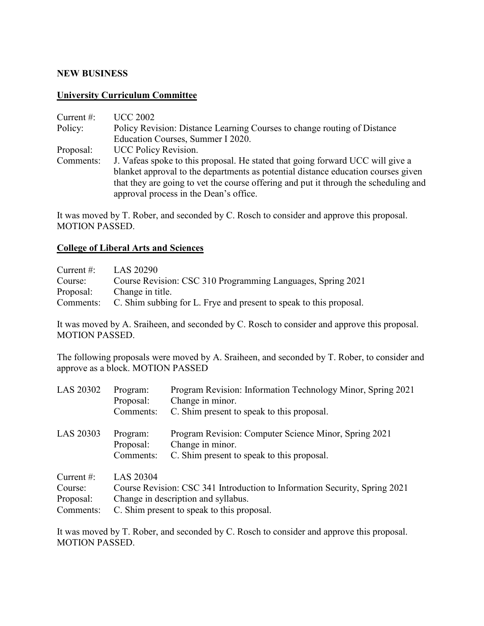## **NEW BUSINESS**

#### **University Curriculum Committee**

| <b>UCC 2002</b>                                                                                                                |
|--------------------------------------------------------------------------------------------------------------------------------|
| Policy Revision: Distance Learning Courses to change routing of Distance                                                       |
| Education Courses, Summer I 2020.                                                                                              |
| <b>UCC Policy Revision.</b>                                                                                                    |
| J. Vafeas spoke to this proposal. He stated that going forward UCC will give a                                                 |
| blanket approval to the departments as potential distance education courses given                                              |
| that they are going to vet the course offering and put it through the scheduling and<br>approval process in the Dean's office. |
|                                                                                                                                |

It was moved by T. Rober, and seconded by C. Rosch to consider and approve this proposal. MOTION PASSED.

## **College of Liberal Arts and Sciences**

| Current $\#$ : | LAS 20290                                                          |
|----------------|--------------------------------------------------------------------|
| Course:        | Course Revision: CSC 310 Programming Languages, Spring 2021        |
| Proposal:      | Change in title.                                                   |
| Comments:      | C. Shim subbing for L. Frye and present to speak to this proposal. |

It was moved by A. Sraiheen, and seconded by C. Rosch to consider and approve this proposal. MOTION PASSED.

The following proposals were moved by A. Sraiheen, and seconded by T. Rober, to consider and approve as a block. MOTION PASSED

| LAS 20302                                          | Program:<br>Proposal:<br>Comments:                                                                                                                                                  | Program Revision: Information Technology Minor, Spring 2021<br>Change in minor.<br>C. Shim present to speak to this proposal. |
|----------------------------------------------------|-------------------------------------------------------------------------------------------------------------------------------------------------------------------------------------|-------------------------------------------------------------------------------------------------------------------------------|
| LAS 20303                                          | Program:<br>Proposal:<br>Comments:                                                                                                                                                  | Program Revision: Computer Science Minor, Spring 2021<br>Change in minor.<br>C. Shim present to speak to this proposal.       |
| Current $#$ :<br>Course:<br>Proposal:<br>Comments: | <b>LAS 20304</b><br>Course Revision: CSC 341 Introduction to Information Security, Spring 2021<br>Change in description and syllabus.<br>C. Shim present to speak to this proposal. |                                                                                                                               |

It was moved by T. Rober, and seconded by C. Rosch to consider and approve this proposal. MOTION PASSED.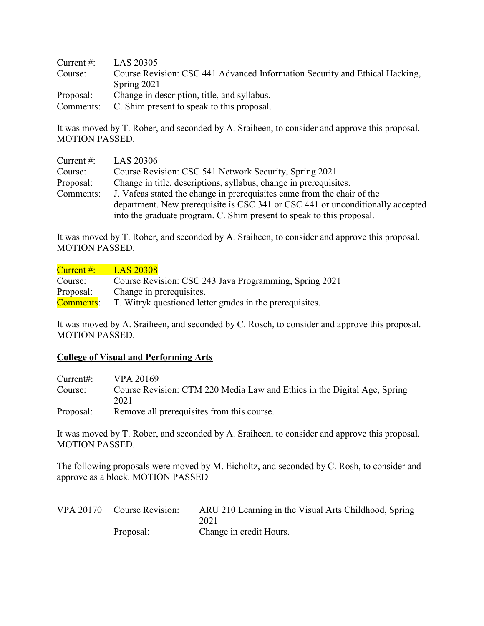Current #: LAS 20305 Course: Course Revision: CSC 441 Advanced Information Security and Ethical Hacking, Spring 2021 Proposal: Change in description, title, and syllabus. Comments: C. Shim present to speak to this proposal.

It was moved by T. Rober, and seconded by A. Sraiheen, to consider and approve this proposal. MOTION PASSED.

| Current $#$ : | LAS 20306                                                                      |
|---------------|--------------------------------------------------------------------------------|
| Course:       | Course Revision: CSC 541 Network Security, Spring 2021                         |
| Proposal:     | Change in title, descriptions, syllabus, change in prerequisites.              |
| Comments:     | J. Vafeas stated the change in prerequisites came from the chair of the        |
|               | department. New prerequisite is CSC 341 or CSC 441 or unconditionally accepted |
|               | into the graduate program. C. Shim present to speak to this proposal.          |

It was moved by T. Rober, and seconded by A. Sraiheen, to consider and approve this proposal. MOTION PASSED.

| Current #:       | <b>LAS 20308</b>                                                                              |
|------------------|-----------------------------------------------------------------------------------------------|
| Course:          | Course Revision: CSC 243 Java Programming, Spring 2021                                        |
| Proposal:        | Change in prerequisites.                                                                      |
| <b>Comments:</b> | T. Witryk questioned letter grades in the prerequisites.                                      |
|                  |                                                                                               |
|                  | It was moved by A. Sraiheen, and seconded by C. Rosch, to consider and approve this proposal. |

MOTION PASSED.

## **College of Visual and Performing Arts**

| Current:  | VPA 20169                                                                        |
|-----------|----------------------------------------------------------------------------------|
| Course:   | Course Revision: CTM 220 Media Law and Ethics in the Digital Age, Spring<br>2021 |
| Proposal: | Remove all prerequisites from this course.                                       |

It was moved by T. Rober, and seconded by A. Sraiheen, to consider and approve this proposal. MOTION PASSED.

The following proposals were moved by M. Eicholtz, and seconded by C. Rosh, to consider and approve as a block. MOTION PASSED

| VPA 20170 Course Revision: | ARU 210 Learning in the Visual Arts Childhood, Spring |
|----------------------------|-------------------------------------------------------|
|                            | 2021                                                  |
| Proposal:                  | Change in credit Hours.                               |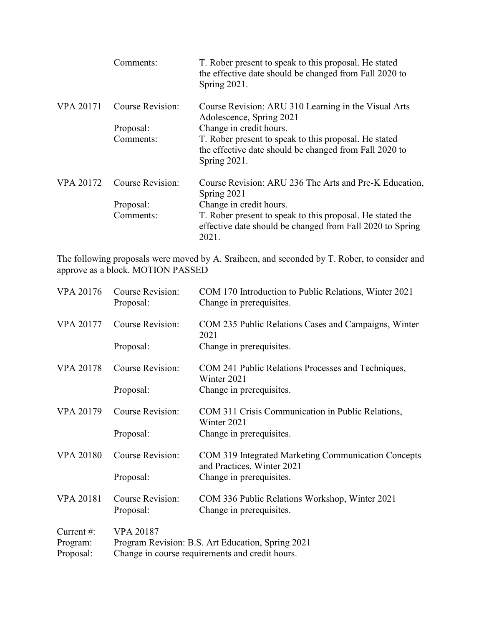|                  | Comments:        | T. Rober present to speak to this proposal. He stated<br>the effective date should be changed from Fall 2020 to<br>Spring 2021. |
|------------------|------------------|---------------------------------------------------------------------------------------------------------------------------------|
| <b>VPA 20171</b> | Course Revision: | Course Revision: ARU 310 Learning in the Visual Arts<br>Adolescence, Spring 2021                                                |
|                  | Proposal:        | Change in credit hours.                                                                                                         |
|                  | Comments:        | T. Rober present to speak to this proposal. He stated<br>the effective date should be changed from Fall 2020 to<br>Spring 2021. |
| <b>VPA 20172</b> | Course Revision: | Course Revision: ARU 236 The Arts and Pre-K Education,<br>Spring 2021                                                           |
|                  | Proposal:        | Change in credit hours.                                                                                                         |
|                  | Comments:        | T. Rober present to speak to this proposal. He stated the<br>effective date should be changed from Fall 2020 to Spring<br>2021. |

The following proposals were moved by A. Sraiheen, and seconded by T. Rober, to consider and approve as a block. MOTION PASSED

| <b>VPA 20176</b>                   | <b>Course Revision:</b><br>Proposal: | COM 170 Introduction to Public Relations, Winter 2021<br>Change in prerequisites.                    |
|------------------------------------|--------------------------------------|------------------------------------------------------------------------------------------------------|
| <b>VPA 20177</b>                   | <b>Course Revision:</b>              | COM 235 Public Relations Cases and Campaigns, Winter<br>2021                                         |
|                                    | Proposal:                            | Change in prerequisites.                                                                             |
| <b>VPA 20178</b>                   | <b>Course Revision:</b>              | COM 241 Public Relations Processes and Techniques,<br>Winter 2021                                    |
|                                    | Proposal:                            | Change in prerequisites.                                                                             |
| <b>VPA 20179</b>                   | <b>Course Revision:</b>              | COM 311 Crisis Communication in Public Relations,<br>Winter 2021                                     |
|                                    | Proposal:                            | Change in prerequisites.                                                                             |
| <b>VPA 20180</b>                   | <b>Course Revision:</b>              | COM 319 Integrated Marketing Communication Concepts<br>and Practices, Winter 2021                    |
|                                    | Proposal:                            | Change in prerequisites.                                                                             |
| <b>VPA 20181</b>                   | <b>Course Revision:</b><br>Proposal: | COM 336 Public Relations Workshop, Winter 2021<br>Change in prerequisites.                           |
| Current#:<br>Program:<br>Proposal: | <b>VPA 20187</b>                     | Program Revision: B.S. Art Education, Spring 2021<br>Change in course requirements and credit hours. |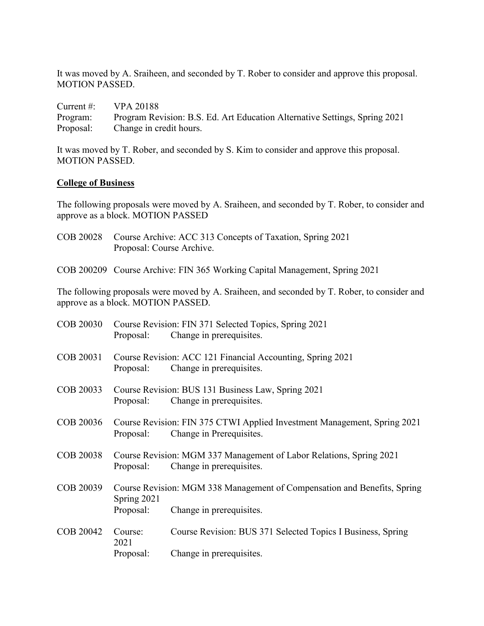It was moved by A. Sraiheen, and seconded by T. Rober to consider and approve this proposal. MOTION PASSED.

| Current $#$ : | <b>VPA 20188</b>                                                           |
|---------------|----------------------------------------------------------------------------|
| Program:      | Program Revision: B.S. Ed. Art Education Alternative Settings, Spring 2021 |
| Proposal:     | Change in credit hours.                                                    |

It was moved by T. Rober, and seconded by S. Kim to consider and approve this proposal. MOTION PASSED.

#### **College of Business**

The following proposals were moved by A. Sraiheen, and seconded by T. Rober, to consider and approve as a block. MOTION PASSED

- COB 20028 Course Archive: ACC 313 Concepts of Taxation, Spring 2021 Proposal: Course Archive.
- COB 200209 Course Archive: FIN 365 Working Capital Management, Spring 2021

The following proposals were moved by A. Sraiheen, and seconded by T. Rober, to consider and approve as a block. MOTION PASSED.

| <b>COB 20030</b> | Proposal:                                                                               | Course Revision: FIN 371 Selected Topics, Spring 2021<br>Change in prerequisites.                    |
|------------------|-----------------------------------------------------------------------------------------|------------------------------------------------------------------------------------------------------|
| COB 20031        | Proposal:                                                                               | Course Revision: ACC 121 Financial Accounting, Spring 2021<br>Change in prerequisites.               |
| COB 20033        | Proposal:                                                                               | Course Revision: BUS 131 Business Law, Spring 2021<br>Change in prerequisites.                       |
| COB 20036        | Proposal:                                                                               | Course Revision: FIN 375 CTWI Applied Investment Management, Spring 2021<br>Change in Prerequisites. |
| <b>COB 20038</b> | Proposal:                                                                               | Course Revision: MGM 337 Management of Labor Relations, Spring 2021<br>Change in prerequisites.      |
| COB 20039        | Course Revision: MGM 338 Management of Compensation and Benefits, Spring<br>Spring 2021 |                                                                                                      |
|                  | Proposal:                                                                               | Change in prerequisites.                                                                             |
| COB 20042        | Course:<br>2021                                                                         | Course Revision: BUS 371 Selected Topics I Business, Spring                                          |
|                  | Proposal:                                                                               | Change in prerequisites.                                                                             |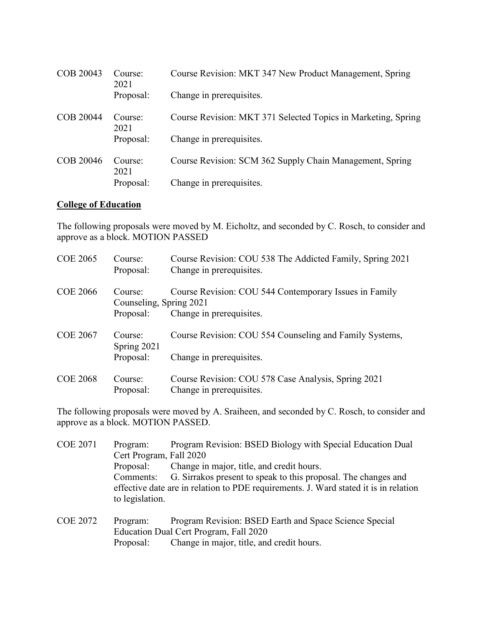| COB 20043 | Course:<br>2021 | Course Revision: MKT 347 New Product Management, Spring       |
|-----------|-----------------|---------------------------------------------------------------|
|           | Proposal:       | Change in prerequisites.                                      |
| COB 20044 | Course:<br>2021 | Course Revision: MKT 371 Selected Topics in Marketing, Spring |
|           | Proposal:       | Change in prerequisites.                                      |
| COB 20046 | Course:<br>2021 | Course Revision: SCM 362 Supply Chain Management, Spring      |
|           | Proposal:       | Change in prerequisites.                                      |

#### **College of Education**

The following proposals were moved by M. Eicholtz, and seconded by C. Rosch, to consider and approve as a block. MOTION PASSED

| <b>COE 2065</b> | Course:<br>Proposal:                            | Course Revision: COU 538 The Addicted Family, Spring 2021<br>Change in prerequisites. |
|-----------------|-------------------------------------------------|---------------------------------------------------------------------------------------|
| <b>COE 2066</b> | Course:<br>Counseling, Spring 2021<br>Proposal: | Course Revision: COU 544 Contemporary Issues in Family<br>Change in prerequisites.    |
| <b>COE 2067</b> | Course:<br>Spring 2021<br>Proposal:             | Course Revision: COU 554 Counseling and Family Systems,<br>Change in prerequisites.   |
| <b>COE 2068</b> | Course:<br>Proposal:                            | Course Revision: COU 578 Case Analysis, Spring 2021<br>Change in prerequisites.       |

The following proposals were moved by A. Sraiheen, and seconded by C. Rosch, to consider and approve as a block. MOTION PASSED.

| <b>COE 2071</b> | Program:                               | Program Revision: BSED Biology with Special Education Dual                           |  |
|-----------------|----------------------------------------|--------------------------------------------------------------------------------------|--|
|                 | Cert Program, Fall 2020                |                                                                                      |  |
|                 | Proposal:                              | Change in major, title, and credit hours.                                            |  |
|                 | Comments:                              | G. Sirrakos present to speak to this proposal. The changes and                       |  |
|                 | to legislation.                        | effective date are in relation to PDE requirements. J. Ward stated it is in relation |  |
| <b>COE 2072</b> | Program:                               | Program Revision: BSED Earth and Space Science Special                               |  |
|                 | Education Dual Cert Program, Fall 2020 |                                                                                      |  |
|                 | Proposal:                              | Change in major, title, and credit hours.                                            |  |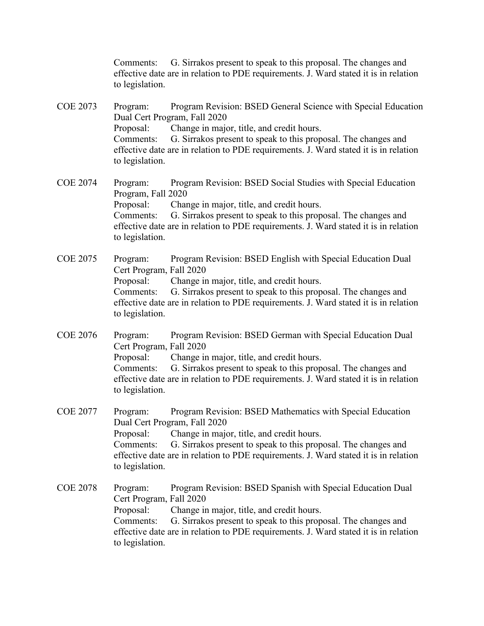Comments: G. Sirrakos present to speak to this proposal. The changes and effective date are in relation to PDE requirements. J. Ward stated it is in relation to legislation.

COE 2073 Program: Program Revision: BSED General Science with Special Education Dual Cert Program, Fall 2020 Proposal: Change in major, title, and credit hours. Comments: G. Sirrakos present to speak to this proposal. The changes and effective date are in relation to PDE requirements. J. Ward stated it is in relation to legislation.

COE 2074 Program: Program Revision: BSED Social Studies with Special Education Program, Fall 2020 Proposal: Change in major, title, and credit hours. Comments: G. Sirrakos present to speak to this proposal. The changes and effective date are in relation to PDE requirements. J. Ward stated it is in relation to legislation.

COE 2075 Program: Program Revision: BSED English with Special Education Dual Cert Program, Fall 2020 Proposal: Change in major, title, and credit hours. Comments: G. Sirrakos present to speak to this proposal. The changes and effective date are in relation to PDE requirements. J. Ward stated it is in relation to legislation.

COE 2076 Program: Program Revision: BSED German with Special Education Dual Cert Program, Fall 2020 Proposal: Change in major, title, and credit hours. Comments: G. Sirrakos present to speak to this proposal. The changes and effective date are in relation to PDE requirements. J. Ward stated it is in relation to legislation.

COE 2077 Program: Program Revision: BSED Mathematics with Special Education Dual Cert Program, Fall 2020 Proposal: Change in major, title, and credit hours. Comments: G. Sirrakos present to speak to this proposal. The changes and effective date are in relation to PDE requirements. J. Ward stated it is in relation to legislation.

COE 2078 Program: Program Revision: BSED Spanish with Special Education Dual Cert Program, Fall 2020 Proposal: Change in major, title, and credit hours. Comments: G. Sirrakos present to speak to this proposal. The changes and effective date are in relation to PDE requirements. J. Ward stated it is in relation to legislation.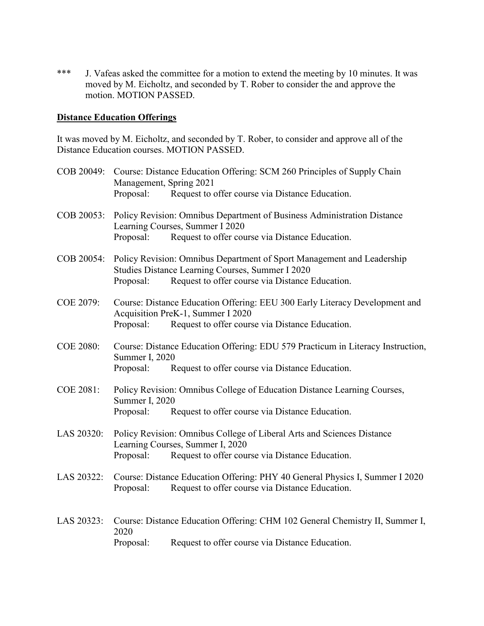\*\*\* J. Vafeas asked the committee for a motion to extend the meeting by 10 minutes. It was moved by M. Eicholtz, and seconded by T. Rober to consider the and approve the motion. MOTION PASSED.

#### **Distance Education Offerings**

It was moved by M. Eicholtz, and seconded by T. Rober, to consider and approve all of the Distance Education courses. MOTION PASSED.

|                  | COB 20049: Course: Distance Education Offering: SCM 260 Principles of Supply Chain<br>Management, Spring 2021                                                              |                                                                                                                                                                                          |  |
|------------------|----------------------------------------------------------------------------------------------------------------------------------------------------------------------------|------------------------------------------------------------------------------------------------------------------------------------------------------------------------------------------|--|
|                  | Proposal:                                                                                                                                                                  | Request to offer course via Distance Education.                                                                                                                                          |  |
|                  |                                                                                                                                                                            | COB 20053: Policy Revision: Omnibus Department of Business Administration Distance<br>Learning Courses, Summer I 2020                                                                    |  |
|                  | Proposal:                                                                                                                                                                  | Request to offer course via Distance Education.                                                                                                                                          |  |
|                  | Proposal:                                                                                                                                                                  | COB 20054: Policy Revision: Omnibus Department of Sport Management and Leadership<br>Studies Distance Learning Courses, Summer I 2020<br>Request to offer course via Distance Education. |  |
| <b>COE 2079:</b> | Proposal:                                                                                                                                                                  | Course: Distance Education Offering: EEU 300 Early Literacy Development and<br>Acquisition PreK-1, Summer I 2020<br>Request to offer course via Distance Education.                      |  |
| <b>COE 2080:</b> | Summer I, 2020<br>Proposal:                                                                                                                                                | Course: Distance Education Offering: EDU 579 Practicum in Literacy Instruction,<br>Request to offer course via Distance Education.                                                       |  |
| <b>COE 2081:</b> | Summer I, 2020<br>Proposal:                                                                                                                                                | Policy Revision: Omnibus College of Education Distance Learning Courses,<br>Request to offer course via Distance Education.                                                              |  |
| LAS 20320:       | Policy Revision: Omnibus College of Liberal Arts and Sciences Distance<br>Learning Courses, Summer I, 2020<br>Request to offer course via Distance Education.<br>Proposal: |                                                                                                                                                                                          |  |
| LAS 20322:       | Proposal:                                                                                                                                                                  | Course: Distance Education Offering: PHY 40 General Physics I, Summer I 2020<br>Request to offer course via Distance Education.                                                          |  |
| LAS 20323:       | Course: Distance Education Offering: CHM 102 General Chemistry II, Summer I,<br>2020                                                                                       |                                                                                                                                                                                          |  |
|                  | Proposal:                                                                                                                                                                  | Request to offer course via Distance Education.                                                                                                                                          |  |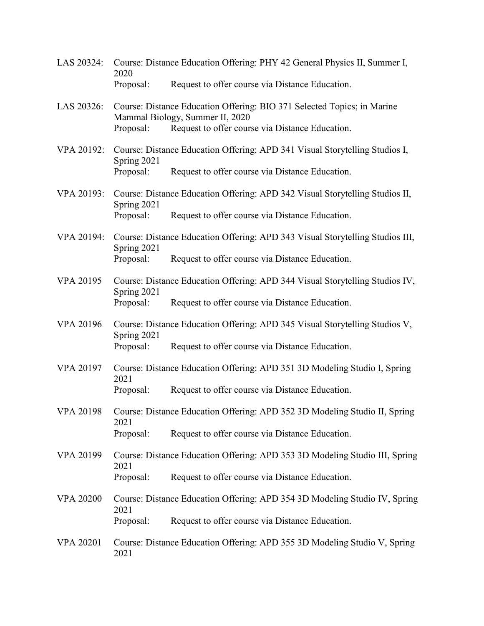- LAS 20324: Course: Distance Education Offering: PHY 42 General Physics II, Summer I, 2020 Proposal: Request to offer course via Distance Education.
- LAS 20326: Course: Distance Education Offering: BIO 371 Selected Topics; in Marine Mammal Biology, Summer II, 2020 Proposal: Request to offer course via Distance Education.
- VPA 20192: Course: Distance Education Offering: APD 341 Visual Storytelling Studios I, Spring 2021 Proposal: Request to offer course via Distance Education.
- VPA 20193: Course: Distance Education Offering: APD 342 Visual Storytelling Studios II, Spring 2021 Proposal: Request to offer course via Distance Education.
- VPA 20194: Course: Distance Education Offering: APD 343 Visual Storytelling Studios III, Spring 2021 Proposal: Request to offer course via Distance Education.
- VPA 20195 Course: Distance Education Offering: APD 344 Visual Storytelling Studios IV, Spring 2021 Proposal: Request to offer course via Distance Education.
- VPA 20196 Course: Distance Education Offering: APD 345 Visual Storytelling Studios V, Spring 2021 Proposal: Request to offer course via Distance Education.
- VPA 20197 Course: Distance Education Offering: APD 351 3D Modeling Studio I, Spring 2021 Proposal: Request to offer course via Distance Education.
- VPA 20198 Course: Distance Education Offering: APD 352 3D Modeling Studio II, Spring 2021 Proposal: Request to offer course via Distance Education.
- VPA 20199 Course: Distance Education Offering: APD 353 3D Modeling Studio III, Spring 2021 Proposal: Request to offer course via Distance Education.
- VPA 20200 Course: Distance Education Offering: APD 354 3D Modeling Studio IV, Spring 2021 Proposal: Request to offer course via Distance Education.
- VPA 20201 Course: Distance Education Offering: APD 355 3D Modeling Studio V, Spring 2021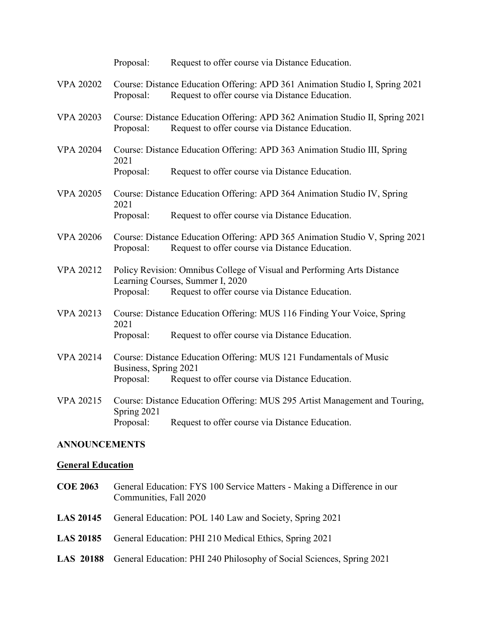|                          | Proposal:                                                                                                   | Request to offer course via Distance Education.                                                                                  |  |
|--------------------------|-------------------------------------------------------------------------------------------------------------|----------------------------------------------------------------------------------------------------------------------------------|--|
| <b>VPA 20202</b>         | Proposal:                                                                                                   | Course: Distance Education Offering: APD 361 Animation Studio I, Spring 2021<br>Request to offer course via Distance Education.  |  |
| <b>VPA 20203</b>         | Proposal:                                                                                                   | Course: Distance Education Offering: APD 362 Animation Studio II, Spring 2021<br>Request to offer course via Distance Education. |  |
| <b>VPA 20204</b>         | 2021                                                                                                        | Course: Distance Education Offering: APD 363 Animation Studio III, Spring                                                        |  |
|                          | Proposal:                                                                                                   | Request to offer course via Distance Education.                                                                                  |  |
| <b>VPA 20205</b>         | 2021                                                                                                        | Course: Distance Education Offering: APD 364 Animation Studio IV, Spring                                                         |  |
|                          | Proposal:                                                                                                   | Request to offer course via Distance Education.                                                                                  |  |
| <b>VPA 20206</b>         | Proposal:                                                                                                   | Course: Distance Education Offering: APD 365 Animation Studio V, Spring 2021<br>Request to offer course via Distance Education.  |  |
| <b>VPA 20212</b>         | Policy Revision: Omnibus College of Visual and Performing Arts Distance<br>Learning Courses, Summer I, 2020 |                                                                                                                                  |  |
|                          | Proposal:                                                                                                   | Request to offer course via Distance Education.                                                                                  |  |
| <b>VPA 20213</b>         | Course: Distance Education Offering: MUS 116 Finding Your Voice, Spring<br>2021                             |                                                                                                                                  |  |
|                          | Proposal:                                                                                                   | Request to offer course via Distance Education.                                                                                  |  |
| <b>VPA 20214</b>         | Course: Distance Education Offering: MUS 121 Fundamentals of Music<br>Business, Spring 2021                 |                                                                                                                                  |  |
|                          | Proposal:                                                                                                   | Request to offer course via Distance Education.                                                                                  |  |
| <b>VPA 20215</b>         | Spring 2021                                                                                                 | Course: Distance Education Offering: MUS 295 Artist Management and Touring,                                                      |  |
|                          | Proposal:                                                                                                   | Request to offer course via Distance Education.                                                                                  |  |
| <b>ANNOUNCEMENTS</b>     |                                                                                                             |                                                                                                                                  |  |
| <b>General Education</b> |                                                                                                             |                                                                                                                                  |  |

- **COE 2063** General Education: FYS 100 Service Matters Making a Difference in our Communities, Fall 2020
- **LAS 20145** General Education: POL 140 Law and Society, Spring 2021
- **LAS 20185** General Education: PHI 210 Medical Ethics, Spring 2021
- **LAS 20188** General Education: PHI 240 Philosophy of Social Sciences, Spring 2021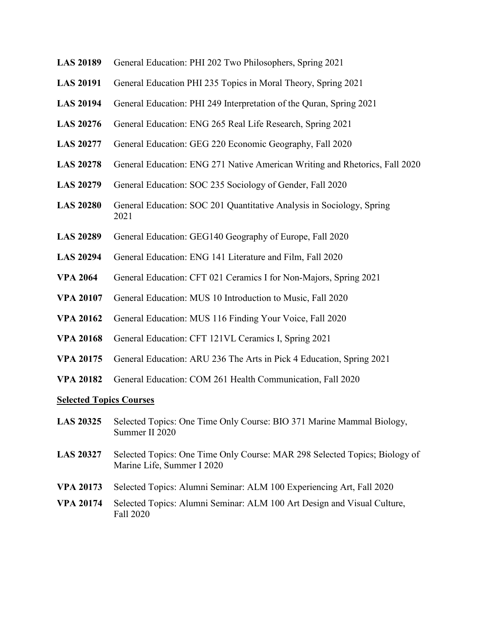- **LAS 20189** General Education: PHI 202 Two Philosophers, Spring 2021
- **LAS 20191** General Education PHI 235 Topics in Moral Theory, Spring 2021
- **LAS 20194** General Education: PHI 249 Interpretation of the Quran, Spring 2021
- **LAS 20276** General Education: ENG 265 Real Life Research, Spring 2021
- **LAS 20277** General Education: GEG 220 Economic Geography, Fall 2020
- **LAS 20278** General Education: ENG 271 Native American Writing and Rhetorics, Fall 2020
- **LAS 20279** General Education: SOC 235 Sociology of Gender, Fall 2020
- **LAS 20280** General Education: SOC 201 Quantitative Analysis in Sociology, Spring 2021
- **LAS 20289** General Education: GEG140 Geography of Europe, Fall 2020
- **LAS 20294** General Education: ENG 141 Literature and Film, Fall 2020
- **VPA 2064** General Education: CFT 021 Ceramics I for Non-Majors, Spring 2021
- **VPA 20107** General Education: MUS 10 Introduction to Music, Fall 2020
- **VPA 20162** General Education: MUS 116 Finding Your Voice, Fall 2020
- **VPA 20168** General Education: CFT 121VL Ceramics I, Spring 2021
- **VPA 20175** General Education: ARU 236 The Arts in Pick 4 Education, Spring 2021
- **VPA 20182** General Education: COM 261 Health Communication, Fall 2020

#### **Selected Topics Courses**

- **LAS 20325** Selected Topics: One Time Only Course: BIO 371 Marine Mammal Biology, Summer II 2020
- **LAS 20327** Selected Topics: One Time Only Course: MAR 298 Selected Topics; Biology of Marine Life, Summer I 2020
- **VPA 20173** Selected Topics: Alumni Seminar: ALM 100 Experiencing Art, Fall 2020
- **VPA 20174** Selected Topics: Alumni Seminar: ALM 100 Art Design and Visual Culture, Fall 2020